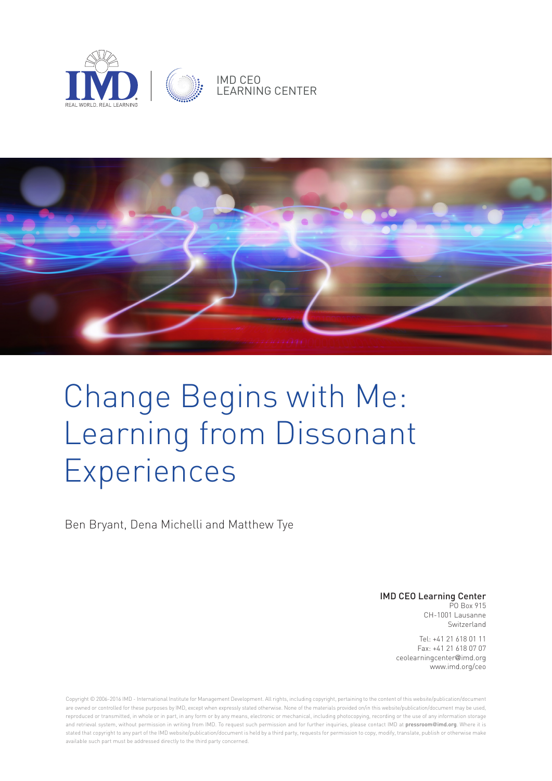



# Change Begins with Me: Learning from Dissonant Experiences

Ben Bryant, Dena Michelli and Matthew Tye

IMD CEO Learning Center PO Box 915

CH-1001 Lausanne Switzerland

Tel: +41 21 618 01 11 Fax: +41 21 618 07 07 ceolearningcenter@imd.org www.imd.org/ceo

Copyright © 2006-2016 IMD - International Institute for Management Development. All rights, including copyright, pertaining to the content of this website/publication/document are owned or controlled for these purposes by IMD, except when expressly stated otherwise. None of the materials provided on/in this website/publication/document may be used, reproduced or transmitted, in whole or in part, in any form or by any means, electronic or mechanical, including photocopying, recording or the use of any information storage and retrieval system, without permission in writing from IMD. To request such permission and for further inquiries, please contact IMD at **pressroom@imd.org**. Where it is stated that copyright to any part of the IMD website/publication/document is held by a third party, requests for permission to copy, modify, translate, publish or otherwise make available such part must be addressed directly to the third party concerned.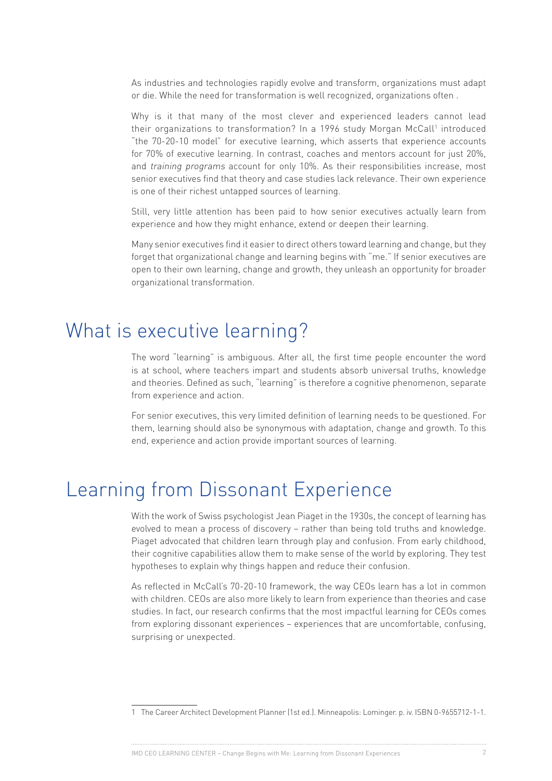As industries and technologies rapidly evolve and transform, organizations must adapt or die. While the need for transformation is well recognized, organizations often .

Why is it that many of the most clever and experienced leaders cannot lead their organizations to transformation? In a 1996 study Morgan McCall<sup>1</sup> introduced "the 70-20-10 model" for executive learning, which asserts that experience accounts for 70% of executive learning. In contrast, coaches and mentors account for just 20%, and training programs account for only 10%. As their responsibilities increase, most senior executives find that theory and case studies lack relevance. Their own experience is one of their richest untapped sources of learning.

Still, very little attention has been paid to how senior executives actually learn from experience and how they might enhance, extend or deepen their learning.

Many senior executives find it easier to direct others toward learning and change, but they forget that organizational change and learning begins with "me." If senior executives are open to their own learning, change and growth, they unleash an opportunity for broader organizational transformation.

# What is executive learning?

The word "learning" is ambiguous. After all, the first time people encounter the word is at school, where teachers impart and students absorb universal truths, knowledge and theories. Defined as such, "learning" is therefore a cognitive phenomenon, separate from experience and action.

For senior executives, this very limited definition of learning needs to be questioned. For them, learning should also be synonymous with adaptation, change and growth. To this end, experience and action provide important sources of learning.

# Learning from Dissonant Experience

With the work of Swiss psychologist Jean Piaget in the 1930s, the concept of learning has evolved to mean a process of discovery – rather than being told truths and knowledge. Piaget advocated that children learn through play and confusion. From early childhood, their cognitive capabilities allow them to make sense of the world by exploring. They test hypotheses to explain why things happen and reduce their confusion.

As reflected in McCall's 70-20-10 framework, the way CEOs learn has a lot in common with children. CEOs are also more likely to learn from experience than theories and case studies. In fact, our research confirms that the most impactful learning for CEOs comes from exploring dissonant experiences – experiences that are uncomfortable, confusing, surprising or unexpected.

IMD CEO LEARNING CENTER – Change Begins with Me: Learning from Dissonant Experiences 2

<sup>1</sup> The Career Architect Development Planner (1st ed.). Minneapolis: Lominger. p. iv. ISBN 0-9655712-1-1.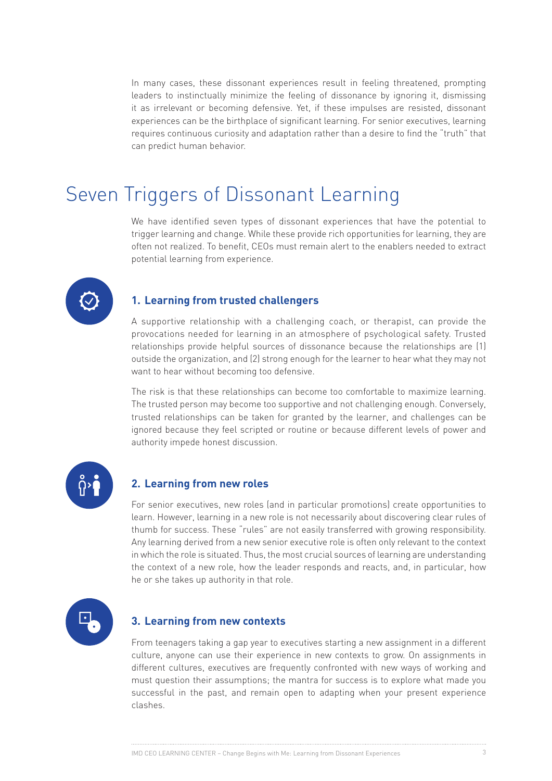In many cases, these dissonant experiences result in feeling threatened, prompting leaders to instinctually minimize the feeling of dissonance by ignoring it, dismissing it as irrelevant or becoming defensive. Yet, if these impulses are resisted, dissonant experiences can be the birthplace of significant learning. For senior executives, learning requires continuous curiosity and adaptation rather than a desire to find the "truth" that can predict human behavior.

# Seven Triggers of Dissonant Learning

We have identified seven types of dissonant experiences that have the potential to trigger learning and change. While these provide rich opportunities for learning, they are often not realized. To benefit, CEOs must remain alert to the enablers needed to extract potential learning from experience.



#### **1. Learning from trusted challengers**

A supportive relationship with a challenging coach, or therapist, can provide the provocations needed for learning in an atmosphere of psychological safety. Trusted relationships provide helpful sources of dissonance because the relationships are (1) outside the organization, and (2) strong enough for the learner to hear what they may not want to hear without becoming too defensive.

The risk is that these relationships can become too comfortable to maximize learning. The trusted person may become too supportive and not challenging enough. Conversely, trusted relationships can be taken for granted by the learner, and challenges can be ignored because they feel scripted or routine or because different levels of power and authority impede honest discussion.



#### **2. Learning from new roles**

For senior executives, new roles (and in particular promotions) create opportunities to learn. However, learning in a new role is not necessarily about discovering clear rules of thumb for success. These "rules" are not easily transferred with growing responsibility. Any learning derived from a new senior executive role is often only relevant to the context in which the role is situated. Thus, the most crucial sources of learning are understanding the context of a new role, how the leader responds and reacts, and, in particular, how he or she takes up authority in that role.



#### **3. Learning from new contexts**

From teenagers taking a gap year to executives starting a new assignment in a different culture, anyone can use their experience in new contexts to grow. On assignments in different cultures, executives are frequently confronted with new ways of working and must question their assumptions; the mantra for success is to explore what made you successful in the past, and remain open to adapting when your present experience clashes.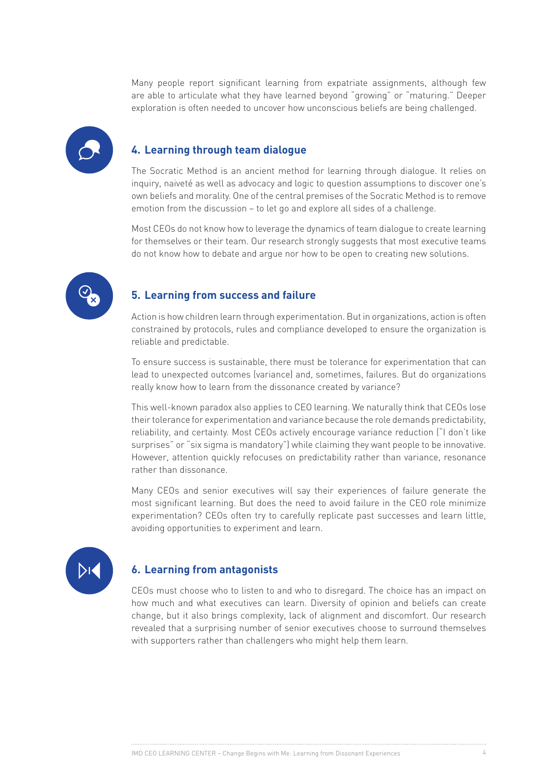Many people report significant learning from expatriate assignments, although few are able to articulate what they have learned beyond "growing" or "maturing." Deeper exploration is often needed to uncover how unconscious beliefs are being challenged.

### **4. Learning through team dialogue**

The Socratic Method is an ancient method for learning through dialogue. It relies on inquiry, naiveté as well as advocacy and logic to question assumptions to discover one's own beliefs and morality. One of the central premises of the Socratic Method is to remove emotion from the discussion – to let go and explore all sides of a challenge.

Most CEOs do not know how to leverage the dynamics of team dialogue to create learning for themselves or their team. Our research strongly suggests that most executive teams do not know how to debate and argue nor how to be open to creating new solutions.



# **5. Learning from success and failure**

Action is how children learn through experimentation. But in organizations, action is often constrained by protocols, rules and compliance developed to ensure the organization is reliable and predictable.

To ensure success is sustainable, there must be tolerance for experimentation that can lead to unexpected outcomes (variance) and, sometimes, failures. But do organizations really know how to learn from the dissonance created by variance?

This well-known paradox also applies to CEO learning. We naturally think that CEOs lose their tolerance for experimentation and variance because the role demands predictability, reliability, and certainty. Most CEOs actively encourage variance reduction ("I don't like surprises" or "six sigma is mandatory") while claiming they want people to be innovative. However, attention quickly refocuses on predictability rather than variance, resonance rather than dissonance.

Many CEOs and senior executives will say their experiences of failure generate the most significant learning. But does the need to avoid failure in the CEO role minimize experimentation? CEOs often try to carefully replicate past successes and learn little, avoiding opportunities to experiment and learn.



### **6. Learning from antagonists**

CEOs must choose who to listen to and who to disregard. The choice has an impact on how much and what executives can learn. Diversity of opinion and beliefs can create change, but it also brings complexity, lack of alignment and discomfort. Our research revealed that a surprising number of senior executives choose to surround themselves with supporters rather than challengers who might help them learn.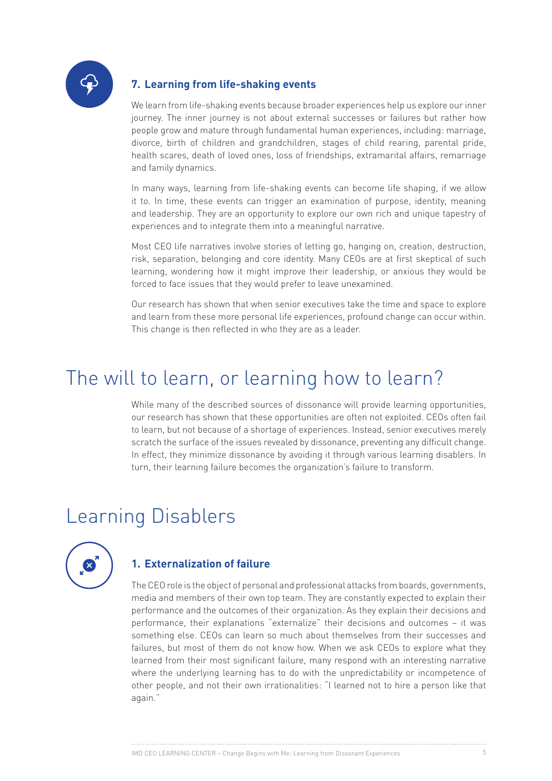

# **7. Learning from life-shaking events**

We learn from life-shaking events because broader experiences help us explore our inner journey. The inner journey is not about external successes or failures but rather how people grow and mature through fundamental human experiences, including: marriage, divorce, birth of children and grandchildren, stages of child rearing, parental pride, health scares, death of loved ones, loss of friendships, extramarital affairs, remarriage and family dynamics.

In many ways, learning from life-shaking events can become life shaping, if we allow it to. In time, these events can trigger an examination of purpose, identity, meaning and leadership. They are an opportunity to explore our own rich and unique tapestry of experiences and to integrate them into a meaningful narrative.

Most CEO life narratives involve stories of letting go, hanging on, creation, destruction, risk, separation, belonging and core identity. Many CEOs are at first skeptical of such learning, wondering how it might improve their leadership, or anxious they would be forced to face issues that they would prefer to leave unexamined.

Our research has shown that when senior executives take the time and space to explore and learn from these more personal life experiences, profound change can occur within. This change is then reflected in who they are as a leader.

# The will to learn, or learning how to learn?

While many of the described sources of dissonance will provide learning opportunities, our research has shown that these opportunities are often not exploited. CEOs often fail to learn, but not because of a shortage of experiences. Instead, senior executives merely scratch the surface of the issues revealed by dissonance, preventing any difficult change. In effect, they minimize dissonance by avoiding it through various learning disablers. In turn, their learning failure becomes the organization's failure to transform.

# Learning Disablers



### **1. Externalization of failure**

The CEO role is the object of personal and professional attacks from boards, governments, media and members of their own top team. They are constantly expected to explain their performance and the outcomes of their organization. As they explain their decisions and performance, their explanations "externalize" their decisions and outcomes – it was something else. CEOs can learn so much about themselves from their successes and failures, but most of them do not know how. When we ask CEOs to explore what they learned from their most significant failure, many respond with an interesting narrative where the underlying learning has to do with the unpredictability or incompetence of other people, and not their own irrationalities: "I learned not to hire a person like that again."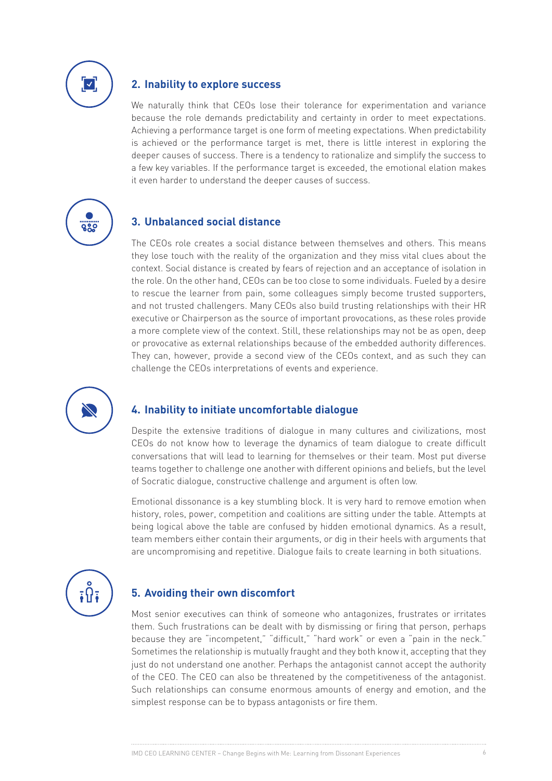

### **2. Inability to explore success**

We naturally think that CEOs lose their tolerance for experimentation and variance because the role demands predictability and certainty in order to meet expectations. Achieving a performance target is one form of meeting expectations. When predictability is achieved or the performance target is met, there is little interest in exploring the deeper causes of success. There is a tendency to rationalize and simplify the success to a few key variables. If the performance target is exceeded, the emotional elation makes it even harder to understand the deeper causes of success.



### **3. Unbalanced social distance**

The CEOs role creates a social distance between themselves and others. This means they lose touch with the reality of the organization and they miss vital clues about the context. Social distance is created by fears of rejection and an acceptance of isolation in the role. On the other hand, CEOs can be too close to some individuals. Fueled by a desire to rescue the learner from pain, some colleagues simply become trusted supporters, and not trusted challengers. Many CEOs also build trusting relationships with their HR executive or Chairperson as the source of important provocations, as these roles provide a more complete view of the context. Still, these relationships may not be as open, deep or provocative as external relationships because of the embedded authority differences. They can, however, provide a second view of the CEOs context, and as such they can challenge the CEOs interpretations of events and experience.



#### **4. Inability to initiate uncomfortable dialogue**

Despite the extensive traditions of dialogue in many cultures and civilizations, most CEOs do not know how to leverage the dynamics of team dialogue to create difficult conversations that will lead to learning for themselves or their team. Most put diverse teams together to challenge one another with different opinions and beliefs, but the level of Socratic dialogue, constructive challenge and argument is often low.

Emotional dissonance is a key stumbling block. It is very hard to remove emotion when history, roles, power, competition and coalitions are sitting under the table. Attempts at being logical above the table are confused by hidden emotional dynamics. As a result, team members either contain their arguments, or dig in their heels with arguments that are uncompromising and repetitive. Dialogue fails to create learning in both situations.

### **5. Avoiding their own discomfort**

Most senior executives can think of someone who antagonizes, frustrates or irritates them. Such frustrations can be dealt with by dismissing or firing that person, perhaps because they are "incompetent," "difficult," "hard work" or even a "pain in the neck." Sometimes the relationship is mutually fraught and they both know it, accepting that they just do not understand one another. Perhaps the antagonist cannot accept the authority of the CEO. The CEO can also be threatened by the competitiveness of the antagonist. Such relationships can consume enormous amounts of energy and emotion, and the simplest response can be to bypass antagonists or fire them.